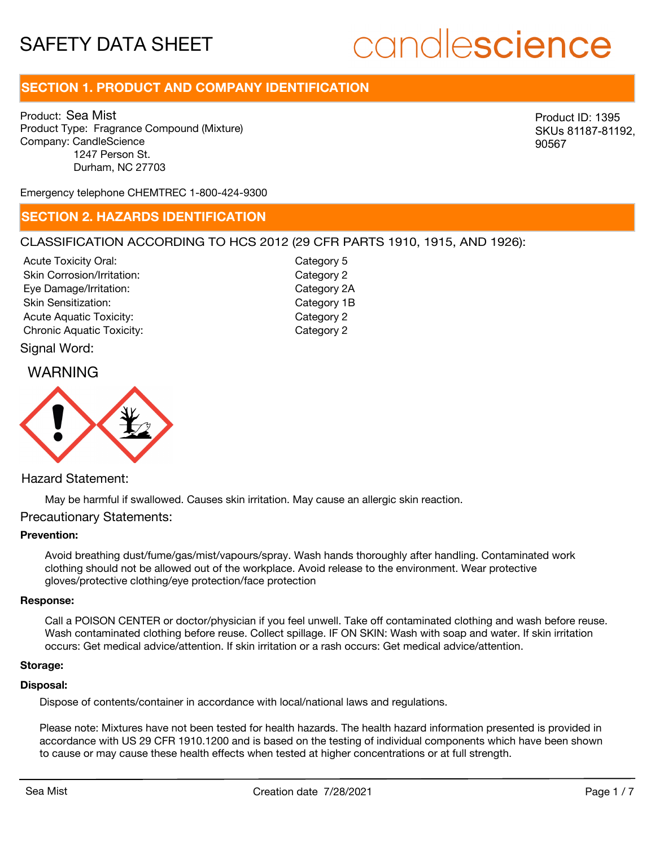# candlescience

# **SECTION 1. PRODUCT AND COMPANY IDENTIFICATION**

Product: Sea Mist Product Type: Fragrance Compound (Mixture) Company: CandleScience 1247 Person St. Durham, NC 27703

Product ID: 1395 SKUs 81187-81192, 90567

Emergency telephone CHEMTREC 1-800-424-9300

### **SECTION 2. HAZARDS IDENTIFICATION**

#### CLASSIFICATION ACCORDING TO HCS 2012 (29 CFR PARTS 1910, 1915, AND 1926):

Acute Toxicity Oral: Skin Corrosion/Irritation: Eye Damage/Irritation: Skin Sensitization: Acute Aquatic Toxicity: Category 2 Chronic Aquatic Toxicity: Chronic Aquatic Toxicity:

Category 5 Category 2 Category 2A Category 1B

### Signal Word:

## WARNING



#### Hazard Statement:

May be harmful if swallowed. Causes skin irritation. May cause an allergic skin reaction.

#### Precautionary Statements:

#### **Prevention:**

Avoid breathing dust/fume/gas/mist/vapours/spray. Wash hands thoroughly after handling. Contaminated work clothing should not be allowed out of the workplace. Avoid release to the environment. Wear protective gloves/protective clothing/eye protection/face protection

#### **Response:**

Call a POISON CENTER or doctor/physician if you feel unwell. Take off contaminated clothing and wash before reuse. Wash contaminated clothing before reuse. Collect spillage. IF ON SKIN: Wash with soap and water. If skin irritation occurs: Get medical advice/attention. If skin irritation or a rash occurs: Get medical advice/attention.

#### **Storage:**

#### **Disposal:**

Dispose of contents/container in accordance with local/national laws and regulations.

Please note: Mixtures have not been tested for health hazards. The health hazard information presented is provided in accordance with US 29 CFR 1910.1200 and is based on the testing of individual components which have been shown to cause or may cause these health effects when tested at higher concentrations or at full strength.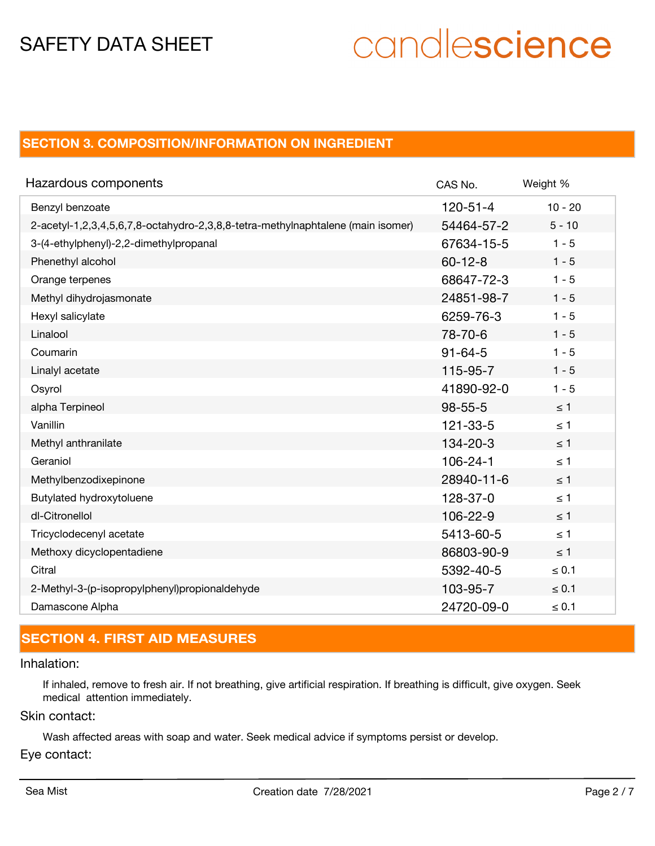# candlescience

# **SECTION 3. COMPOSITION/INFORMATION ON INGREDIENT**

| Hazardous components                                                            | CAS No.        | Weight %   |
|---------------------------------------------------------------------------------|----------------|------------|
| Benzyl benzoate                                                                 | $120 - 51 - 4$ | $10 - 20$  |
| 2-acetyl-1,2,3,4,5,6,7,8-octahydro-2,3,8,8-tetra-methylnaphtalene (main isomer) | 54464-57-2     | $5 - 10$   |
| 3-(4-ethylphenyl)-2,2-dimethylpropanal                                          | 67634-15-5     | $1 - 5$    |
| Phenethyl alcohol                                                               | $60 - 12 - 8$  | $1 - 5$    |
| Orange terpenes                                                                 | 68647-72-3     | $1 - 5$    |
| Methyl dihydrojasmonate                                                         | 24851-98-7     | $1 - 5$    |
| Hexyl salicylate                                                                | 6259-76-3      | $1 - 5$    |
| Linalool                                                                        | 78-70-6        | $1 - 5$    |
| Coumarin                                                                        | $91 - 64 - 5$  | $1 - 5$    |
| Linalyl acetate                                                                 | 115-95-7       | $1 - 5$    |
| Osyrol                                                                          | 41890-92-0     | $1 - 5$    |
| alpha Terpineol                                                                 | $98 - 55 - 5$  | $\leq 1$   |
| Vanillin                                                                        | $121 - 33 - 5$ | $\leq 1$   |
| Methyl anthranilate                                                             | $134 - 20 - 3$ | $\leq 1$   |
| Geraniol                                                                        | $106 - 24 - 1$ | $\leq 1$   |
| Methylbenzodixepinone                                                           | 28940-11-6     | $\leq$ 1   |
| Butylated hydroxytoluene                                                        | 128-37-0       | $\leq 1$   |
| dl-Citronellol                                                                  | 106-22-9       | $\leq 1$   |
| Tricyclodecenyl acetate                                                         | 5413-60-5      | $\leq 1$   |
| Methoxy dicyclopentadiene                                                       | 86803-90-9     | $\leq$ 1   |
| Citral                                                                          | 5392-40-5      | $\leq 0.1$ |
| 2-Methyl-3-(p-isopropylphenyl)propionaldehyde                                   | 103-95-7       | $\leq 0.1$ |
| Damascone Alpha                                                                 | 24720-09-0     | $\leq 0.1$ |

# **SECTION 4. FIRST AID MEASURES**

### Inhalation:

If inhaled, remove to fresh air. If not breathing, give artificial respiration. If breathing is difficult, give oxygen. Seek medical attention immediately.

#### Skin contact:

Wash affected areas with soap and water. Seek medical advice if symptoms persist or develop.

#### Eye contact: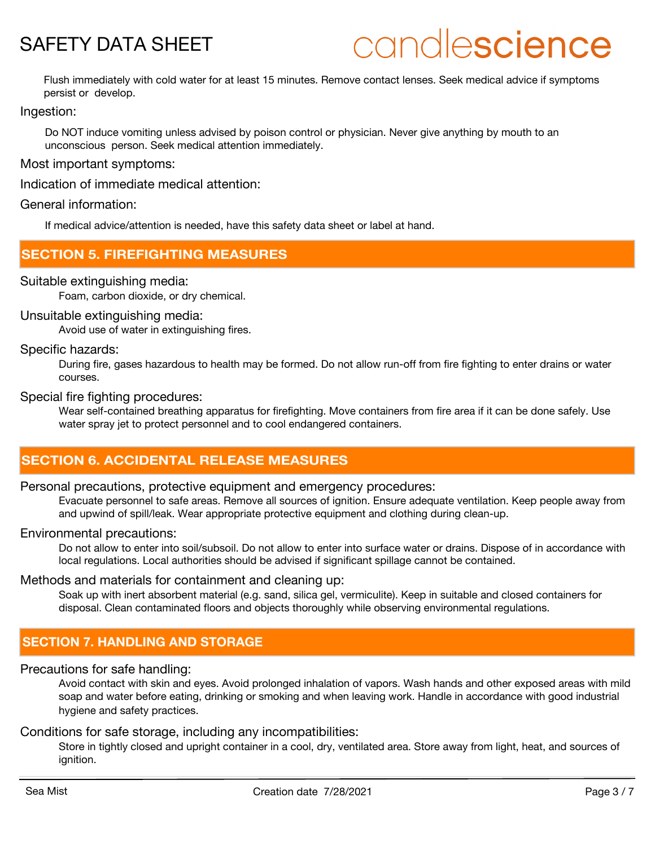# candlescience

Flush immediately with cold water for at least 15 minutes. Remove contact lenses. Seek medical advice if symptoms persist or develop.

Ingestion:

Do NOT induce vomiting unless advised by poison control or physician. Never give anything by mouth to an unconscious person. Seek medical attention immediately.

Most important symptoms:

Indication of immediate medical attention:

#### General information:

If medical advice/attention is needed, have this safety data sheet or label at hand.

## **SECTION 5. FIREFIGHTING MEASURES**

#### Suitable extinguishing media:

Foam, carbon dioxide, or dry chemical.

#### Unsuitable extinguishing media:

Avoid use of water in extinguishing fires.

#### Specific hazards:

During fire, gases hazardous to health may be formed. Do not allow run-off from fire fighting to enter drains or water courses.

#### Special fire fighting procedures:

Wear self-contained breathing apparatus for firefighting. Move containers from fire area if it can be done safely. Use water spray jet to protect personnel and to cool endangered containers.

# **SECTION 6. ACCIDENTAL RELEASE MEASURES**

#### Personal precautions, protective equipment and emergency procedures:

Evacuate personnel to safe areas. Remove all sources of ignition. Ensure adequate ventilation. Keep people away from and upwind of spill/leak. Wear appropriate protective equipment and clothing during clean-up.

#### Environmental precautions:

Do not allow to enter into soil/subsoil. Do not allow to enter into surface water or drains. Dispose of in accordance with local regulations. Local authorities should be advised if significant spillage cannot be contained.

#### Methods and materials for containment and cleaning up:

Soak up with inert absorbent material (e.g. sand, silica gel, vermiculite). Keep in suitable and closed containers for disposal. Clean contaminated floors and objects thoroughly while observing environmental regulations.

# **SECTION 7. HANDLING AND STORAGE**

#### Precautions for safe handling:

Avoid contact with skin and eyes. Avoid prolonged inhalation of vapors. Wash hands and other exposed areas with mild soap and water before eating, drinking or smoking and when leaving work. Handle in accordance with good industrial hygiene and safety practices.

#### Conditions for safe storage, including any incompatibilities:

Store in tightly closed and upright container in a cool, dry, ventilated area. Store away from light, heat, and sources of ignition.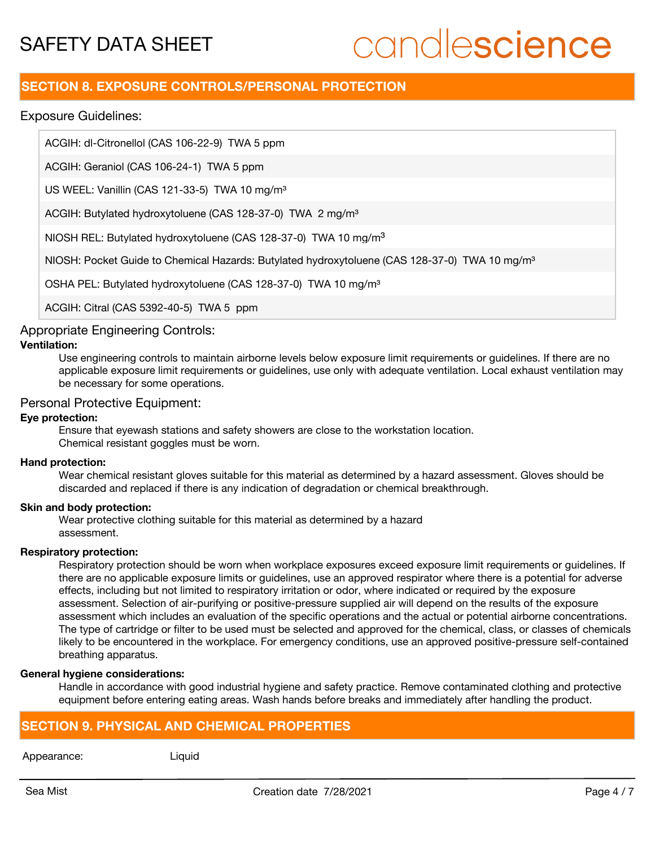# candlescience

# **SECTION 8. EXPOSURE CONTROLS/PERSONAL PROTECTION**

Exposure Guidelines:

ACGIH: dl-Citronellol (CAS 106-22-9) TWA 5 ppm

ACGIH: Geraniol (CAS 106-24-1) TWA 5 ppm

US WEEL: Vanillin (CAS 121-33-5) TWA 10 mg/m<sup>3</sup>

ACGIH: Butylated hydroxytoluene (CAS 128-37-0) TWA 2 mg/m<sup>3</sup>

NIOSH REL: Butylated hydroxytoluene (CAS 128-37-0) TWA 10 mg/m<sup>3</sup>

NIOSH: Pocket Guide to Chemical Hazards: Butylated hydroxytoluene (CAS 128-37-0) TWA 10 mg/m<sup>3</sup>

OSHA PEL: Butylated hydroxytoluene (CAS 128-37-0) TWA 10 mg/m<sup>3</sup>

ACGIH: Citral (CAS 5392-40-5) TWA 5 ppm

### Appropriate Engineering Controls:

#### **Ventilation:**

Use engineering controls to maintain airborne levels below exposure limit requirements or guidelines. If there are no applicable exposure limit requirements or guidelines, use only with adequate ventilation. Local exhaust ventilation may be necessary for some operations.

#### Personal Protective Equipment:

#### **Eye protection:**

Ensure that eyewash stations and safety showers are close to the workstation location. Chemical resistant goggles must be worn.

#### **Hand protection:**

Wear chemical resistant gloves suitable for this material as determined by a hazard assessment. Gloves should be discarded and replaced if there is any indication of degradation or chemical breakthrough.

#### **Skin and body protection:**

Wear protective clothing suitable for this material as determined by a hazard assessment.

#### **Respiratory protection:**

Respiratory protection should be worn when workplace exposures exceed exposure limit requirements or quidelines. If there are no applicable exposure limits or guidelines, use an approved respirator where there is a potential for adverse effects, including but not limited to respiratory irritation or odor, where indicated or required by the exposure assessment. Selection of air-purifying or positive-pressure supplied air will depend on the results of the exposure assessment which includes an evaluation of the specific operations and the actual or potential airborne concentrations. The type of cartridge or filter to be used must be selected and approved for the chemical, class, or classes of chemicals likely to be encountered in the workplace. For emergency conditions, use an approved positive-pressure self-contained breathing apparatus.

#### **General hygiene considerations:**

Handle in accordance with good industrial hygiene and safety practice. Remove contaminated clothing and protective equipment before entering eating areas. Wash hands before breaks and immediately after handling the product.

# **SECTION 9. PHYSICAL AND CHEMICAL PROPERTIES**

Appearance: Liquid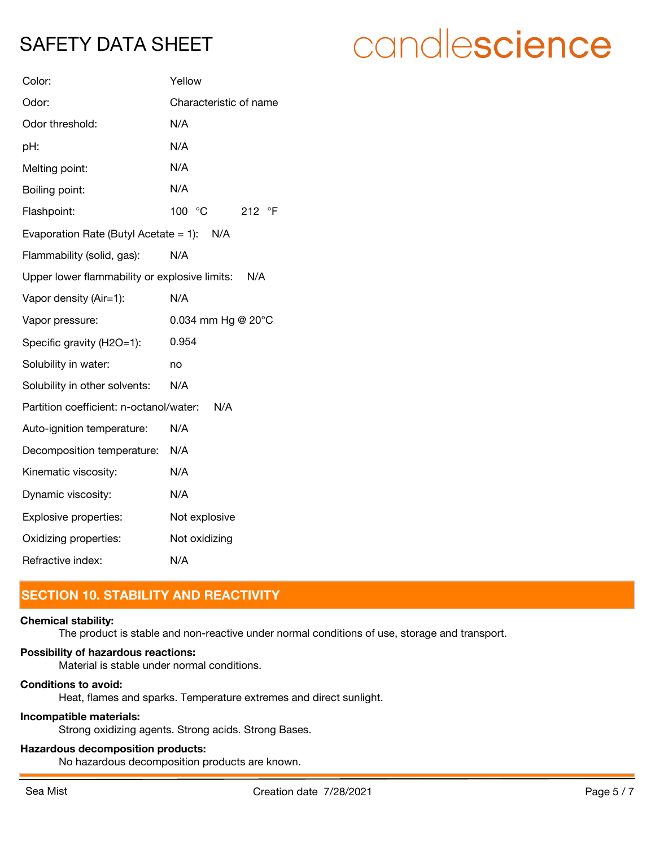# candlescience

| Color:                                        | Yellow                       |  |
|-----------------------------------------------|------------------------------|--|
| Odor:                                         | Characteristic of name       |  |
| Odor threshold:                               | N/A                          |  |
| pH:                                           | N/A                          |  |
| Melting point:                                | N/A                          |  |
| Boiling point:                                | N/A                          |  |
| Flashpoint:                                   | 100 °C<br>212 °F             |  |
| Evaporation Rate (Butyl Acetate = 1): $N/A$   |                              |  |
| Flammability (solid, gas):                    | N/A                          |  |
| Upper lower flammability or explosive limits: | N/A                          |  |
| Vapor density (Air=1):                        | N/A                          |  |
| Vapor pressure:                               | 0.034 mm Hg @ $20^{\circ}$ C |  |
| Specific gravity (H2O=1):                     | 0.954                        |  |
| Solubility in water:                          | no                           |  |
| Solubility in other solvents:                 | N/A                          |  |
| Partition coefficient: n-octanol/water:       | N/A                          |  |
| Auto-ignition temperature:                    | N/A                          |  |
| Decomposition temperature:                    | N/A                          |  |
| Kinematic viscosity:                          | N/A                          |  |
| Dynamic viscosity:                            | N/A                          |  |
| Explosive properties:                         | Not explosive                |  |
| Oxidizing properties:                         | Not oxidizing                |  |
| Refractive index:                             | N/A                          |  |

# **SECTION 10. STABILITY AND REACTIVITY**

#### **Chemical stability:**

The product is stable and non-reactive under normal conditions of use, storage and transport.

#### **Possibility of hazardous reactions:**

Material is stable under normal conditions.

### **Conditions to avoid:**

Heat, flames and sparks. Temperature extremes and direct sunlight.

#### **Incompatible materials:**

Strong oxidizing agents. Strong acids. Strong Bases.

### **Hazardous decomposition products:**

No hazardous decomposition products are known.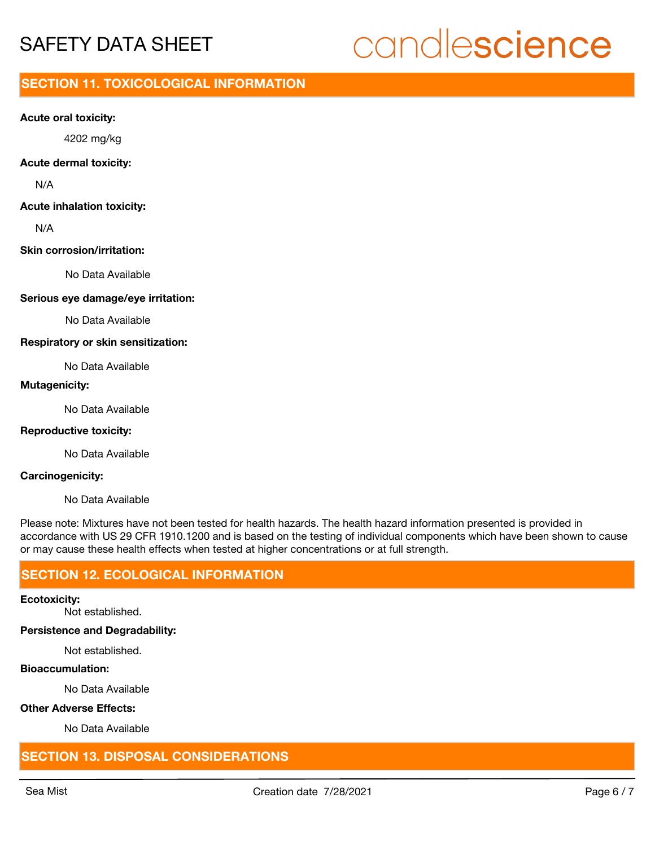# candlescience

# **SECTION 11. TOXICOLOGICAL INFORMATION**

#### **Acute oral toxicity:**

4202 mg/kg

#### **Acute dermal toxicity:**

N/A

#### **Acute inhalation toxicity:**

N/A

#### **Skin corrosion/irritation:**

No Data Available

#### **Serious eye damage/eye irritation:**

No Data Available

#### **Respiratory or skin sensitization:**

No Data Available

#### **Mutagenicity:**

No Data Available

#### **Reproductive toxicity:**

No Data Available

#### **Carcinogenicity:**

No Data Available

Please note: Mixtures have not been tested for health hazards. The health hazard information presented is provided in accordance with US 29 CFR 1910.1200 and is based on the testing of individual components which have been shown to cause or may cause these health effects when tested at higher concentrations or at full strength.

# **SECTION 12. ECOLOGICAL INFORMATION**

#### **Ecotoxicity:**

Not established.

### **Persistence and Degradability:**

Not established.

#### **Bioaccumulation:**

No Data Available

#### **Other Adverse Effects:**

No Data Available

# **SECTION 13. DISPOSAL CONSIDERATIONS**